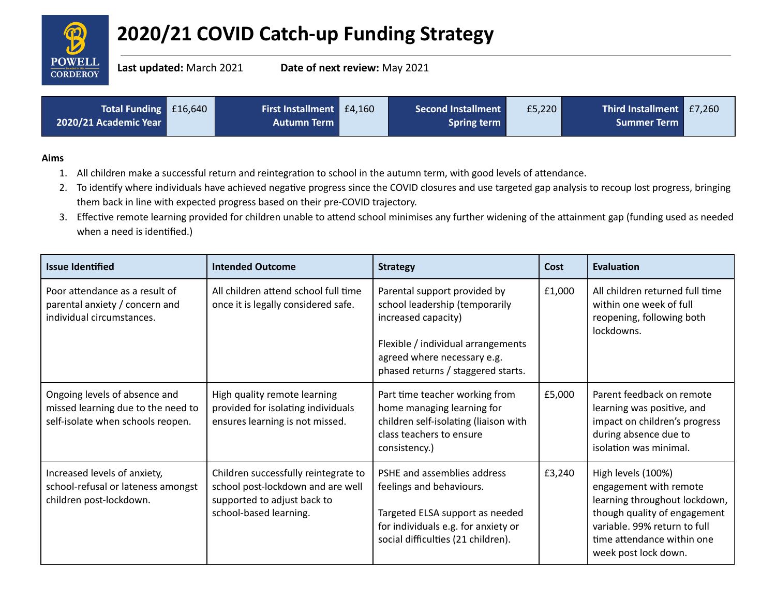

## **2020/21 COVID Catch-up Funding Strategy**

**Last updated:** March 2021 **Date of next review:** May 2021

| Total Funding £16,640 | <b>First Installment</b> £4,160 | <b>Second Installment</b> | £5,220 | Third Installment E7,260 |  |
|-----------------------|---------------------------------|---------------------------|--------|--------------------------|--|
| 2020/21 Academic Year | <b>Autumn Term</b>              | <b>Spring term</b>        |        | <b>Summer Term</b>       |  |

## **Aims**

- 1. All children make a successful return and reintegration to school in the autumn term, with good levels of attendance.
- 2. To identify where individuals have achieved negative progress since the COVID closures and use targeted gap analysis to recoup lost progress, bringing them back in line with expected progress based on their pre-COVID trajectory.
- 3. Effective remote learning provided for children unable to attend school minimises any further widening of the attainment gap (funding used as needed when a need is identified.)

| <b>Issue Identified</b>                                                                                  | <b>Intended Outcome</b>                                                                                                            | <b>Strategy</b>                                                                                                                                                                                  | Cost   | <b>Evaluation</b>                                                                                                                                                                                   |
|----------------------------------------------------------------------------------------------------------|------------------------------------------------------------------------------------------------------------------------------------|--------------------------------------------------------------------------------------------------------------------------------------------------------------------------------------------------|--------|-----------------------------------------------------------------------------------------------------------------------------------------------------------------------------------------------------|
| Poor attendance as a result of<br>parental anxiety / concern and<br>individual circumstances.            | All children attend school full time<br>once it is legally considered safe.                                                        | Parental support provided by<br>school leadership (temporarily<br>increased capacity)<br>Flexible / individual arrangements<br>agreed where necessary e.g.<br>phased returns / staggered starts. | £1,000 | All children returned full time<br>within one week of full<br>reopening, following both<br>lockdowns.                                                                                               |
| Ongoing levels of absence and<br>missed learning due to the need to<br>self-isolate when schools reopen. | High quality remote learning<br>provided for isolating individuals<br>ensures learning is not missed.                              | Part time teacher working from<br>home managing learning for<br>children self-isolating (liaison with<br>class teachers to ensure<br>consistency.)                                               | £5,000 | Parent feedback on remote<br>learning was positive, and<br>impact on children's progress<br>during absence due to<br>isolation was minimal.                                                         |
| Increased levels of anxiety,<br>school-refusal or lateness amongst<br>children post-lockdown.            | Children successfully reintegrate to<br>school post-lockdown and are well<br>supported to adjust back to<br>school-based learning. | PSHE and assemblies address<br>feelings and behaviours.<br>Targeted ELSA support as needed<br>for individuals e.g. for anxiety or<br>social difficulties (21 children).                          | £3,240 | High levels (100%)<br>engagement with remote<br>learning throughout lockdown,<br>though quality of engagement<br>variable. 99% return to full<br>time attendance within one<br>week post lock down. |